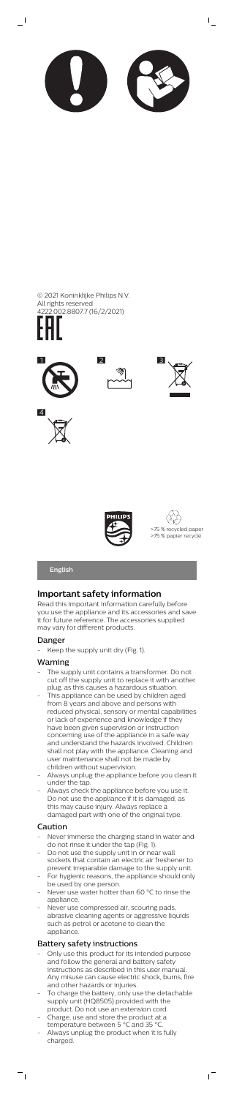

 $\mathsf{I}$ 

# **English**

# **Important safety information**

Read this important information carefully before you use the appliance and its accessories and save it for future reference. The accessories supplied may vary for different products.

### Danger

Keep the supply unit dry (Fig. 1).

### Warning

- The supply unit contains a transformer. Do not cut off the supply unit to replace it with another plug, as this causes a hazardous situation.
- .<br>This appliance can be used by children aged from 8 years and above and persons with reduced physical, sensory or mental capabilities or lack of experience and knowledge if they have been given supervision or instruction concerning use of the appliance in a safe way and understand the hazards involved. Children shall not play with the appliance. Cleaning and user maintenance shall not be made by children without supervision.
	- Always unplug the appliance before you clean it under the tap.
- lways check the appliance before you us Do not use the appliance if it is damaged, as this may cause injury. Always replace a damaged part with one of the original type.

- Only use this product for its intended purpose and follow the general and battery safety instructions as described in this user manual. Any misuse can cause electric shock, burns, fire and other hazards or injuries.
- To charge the battery, only use the detachable supply unit (HQ8505) provided with the product. Do not use an extension cord.

 $\sqrt{2}$ 

- Charge, use and store the product at a temperature between 5 °C and 35 °C.
- Always unplug the product when it is fully charged.





## Caution

 $\frac{1}{\sqrt{2}}$ 

- Never immerse the charging stand in water and do not rinse it under the tap (Fig. 1).
- Do not use the supply unit in or near wall sockets that contain an electric air freshener to prevent irreparable damage to the supply unit.
- For hygienic reasons, the appliance should only be used by one person.
- Never use water hotter than 60 °C to rinse the appliance.
- Never use compressed air, scouring pads, abrasive cleaning agents or aggressive liquids such as petrol or acetone to clean the appliance.

# Battery safety instructions



 $\overline{\phantom{a}}$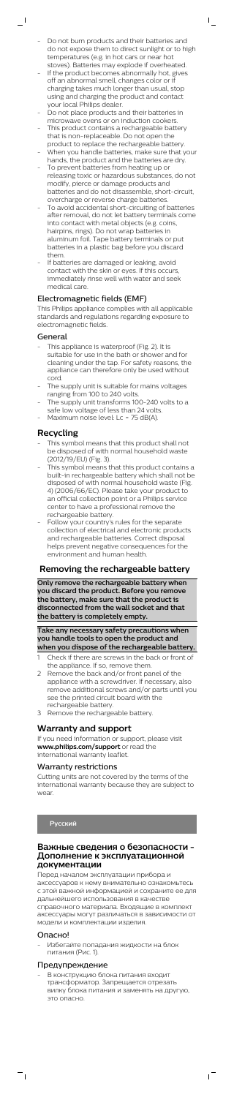Do not burn products and their batteries and do not expose them to direct sunlight or to high temperatures (e.g. in hot cars or near hot stoves). Batteries may explode if overheated.

 $\bar{\Gamma}$ 

- If the product becomes abnormally hot, gives off an abnormal smell, changes color or if charging takes much longer than usual, stop using and charging the product and contact your local Philips dealer.
- Do not place products and their batteries in
- microwave ovens or on induction cookers. This product contains a rechargeable battery that is non-replaceable. Do not open the
- product to replace the rechargeable battery. When you handle batteries, make sure that your hands, the product and the batteries are dry.
- To prevent batteries from heating up or releasing toxic or hazardous substances, do not modify, pierce or damage products and batteries and do not disassemble, short-circuit, overcharge or reverse charge batteries.
- To avoid accidental short-circuiting of batteries after removal, do not let battery terminals come into contact with metal objects (e.g. coins, hairpins, rings). Do not wrap batteries in aluminum foil. Tape battery terminals or put batteries in a plastic bag before you discard them.
- If batteries are damaged or leaking, avoid contact with the skin or eyes. If this occurs, immediately rinse well with water and seek medical care.

- This symbol means that this product shall not be disposed of with normal household waste (2012/19/EU) (Fig. 3).
- This symbol means that this product contains a built-in rechargeable battery which shall not be disposed of with normal household waste (Fig. 4) (2006/66/EC). Please take your product to an official collection point or a Philips service center to have a professional remove the rechargeable battery.
- Follow your country's rules for the separate collection of electrical and electronic products and rechargeable batteries. Correct disposal helps prevent negative consequences for the environment and human health.

### Electromagnetic fields (EMF)

This Philips appliance complies with all applicable standards and regulations regarding exposure to electromagnetic fields.

### General

 $\overline{\phantom{a}}$  (

- This appliance is waterproof (Fig. 2). It is suitable for use in the bath or shower and for cleaning under the tap. For safety reasons, the appliance can therefore only be used without cord.
- The supply unit is suitable for mains voltages ranging from 100 to 240 volts.
- The supply unit transforms 100-240 volts to a safe low voltage of less than 24 volts.
- Maximum noise level: Lc = 75 dB(A).

# **Recycling**

В конструкцию блока питания вхолит трансформатор. Запрещается отрезать вилку блока питания и заменять на другую, это опасно.

 $\sqrt{2}$ 

## **Removing the rechargeable battery**

**Only remove the rechargeable battery when you discard the product. Before you remove the battery, make sure that the product is disconnected from the wall socket and that the battery is completely empty.**

### **Take any necessary safety precautions when you handle tools to open the product and when you dispose of the rechargeable battery.**

- 1 Check if there are screws in the back or front of the appliance. If so, remove them.
- 2 Remove the back and/or front panel of the appliance with a screwdriver. If necessary, also remove additional screws and/or parts until you see the printed circuit board with the rechargeable battery.
- 3 Remove the rechargeable battery.

# **Warranty and support**

If you need information or support, please visit **www.philips.com/support** or read the international warranty leaflet.

### Warranty restrictions

Cutting units are not covered by the terms of the international warranty because they are subject to

 $MQ$ 

# **Русский**

### **Важные сведения о безопасности - Дополнение к эксплуатационной документации**

Перед началом эксплуатации прибора и аксессуаров к нему внимательно ознакомьтесь с этой важной информацией и сохраните ее для дальнейшего использования в качестве справочного материала. Входящие в комплект аксессуары могут различаться в зависимости от модели и комплектации изделия.

#### Опасно!

 $\overline{a}$ 

- Избегайте попадания жидкости на блок питания (Рис. 1).

#### Предупреждение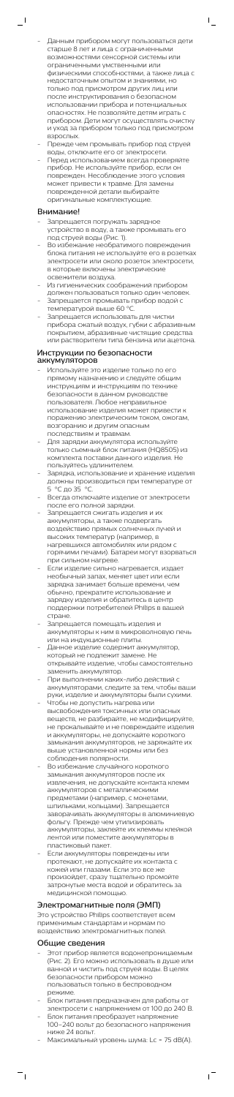- Данным прибором могут пользоваться дети старше 8 лет и лица с ограниченными возможностями сенсорной системы или ограниченными умственными или физическими способностями, а также лица с недостаточным опытом и знаниями, но только под присмотром других лиц или после инструктирования о безопасном использовании прибора и потенциальных опасностях. Не позволяйте детям играть с прибором. Дети могут осуществлять очистку и уход за прибором только под присмотром взрослых.

 $\mathsf{L}$ 

- Прежде чем промывать прибор под струей воды, отключите его от электросети.
- Перед использованием всегда проверяйте прибор. Не используйте прибор, если он поврежден. Несоблюдение этого условия может привести к травме. Для замены поврежденной детали выбирайте оригинальные комплектующие.

- Запрещается погружать зарядное устройство в воду, а также промывать его под струей воды (Рис. 1).
- Во избежание необратимого повреждения блока питания не используйте его в розетках электросети или около розеток электросети, в которые включены электрические освежители воздуха.
- Из гигиенических соображений прибором должен пользоваться только один человек.
- Запрещается промывать прибор водой с температурой выше 60 °C.
- Запрещается использовать для чистки прибора сжатый воздух, губки с абразивным покрытием, абразивные чистящие средства или растворители типа бензина или ацетона.

#### Внимание!

 $\overline{\phantom{0}}$ 

### Инструкции по безопасности аккумуляторов

- Этот прибор является водонепроницаемым (Рис. 2). Его можно использовать в душе или ванной и чистить под струей воды. В целях безопасности прибором можно пользоваться только в беспроводном режиме.
- Блок питания предназначен для работы от электросети с напряжением от 100 до 240 В.
- Блок питания преобразует напряжение 100–240 вольт до безопасного напряжения ниже 24 вольт.
- Максимальный уровень шума: Lc = 75 dB(A).

 $\mathbf{r}$ 

- Используйте это изделие только по его прямому назначению и следуйте общим инструкциям и инструкциям по технике безопасности в данном руководстве пользователя. Любое неправильное использование изделия может привести к поражению электрическим током, ожогам, возгоранию и другим опасным последствиям и травмам.
- Для зарядки аккумулятора используйте только съемный блок питания (HQ8505) из комплекта поставки данного изделия. Не пользуйтесь удлинителем.
- Зарядка, использование и хранение изделия должны производиться при температуре от 5 °C до 35 °C.
- Всегда отключайте изделие от электросети после его полной зарядки.
- Запрещается сжигать изделия и их аккумуляторы, а также подвергать воздействию прямых солнечных лучей и высоких температур (например, в нагревшихся автомобилях или рядом с горячими печами). Батареи могут взорваться при сильном нагреве.
- Если изделие сильно нагревается, издает необычный запах, меняет цвет или если зарядка занимает больше времени, чем обычно, прекратите использование и зарядку изделия и обратитесь в центр поддержки потребителей Philips в вашей стране.
- Запрещается помещать изделия и аккумуляторы к ним в микроволновую печь или на индукционные плиты.
- Данное изделие содержит аккумулятор, который не подлежит замене. Не открывайте изделие, чтобы самостоятельно
- заменить аккумулятор. - При выполнении каких-либо действий с аккумуляторами, следите за тем, чтобы ваши руки, изделие и аккумуляторы были сухими.
- Чтобы не допустить нагрева или высвобождения токсичных или опасных веществ, не разбирайте, не модифицируйте, не прокалывайте и не повреждайте изделия и аккумуляторы, не допускайте короткого замыкания аккумуляторов, не заряжайте их выше установленной нормы или без соблюдения полярности.
- Во избежание случайного короткого замыкания аккумуляторов после их извлечения, не допускайте контакта клемм ккумуляторов с металлическим**и** предметами (например, с монетами, шпильками, кольцами). Запрещается заворачивать аккумуляторы в алюминиевую фольгу. Прежде чем утилизировать аккумуляторы, заклейте их клеммы клейкой лентой или поместите аккумуляторы в пластиковый пакет. - Если аккумуляторы повреждены или протекают, не допускайте их контакта с кожей или глазами. Если это все же произойдет, сразу тщательно промойте затронутые места водой и обратитесь за медицинской помощью.

## Электромагнитные поля (ЭМП)

Это устройство Philips соответствует всем применимым стандартам и нормам по воздействию электромагнитных полей.

## Общие сведения

 $\overline{\phantom{a}}$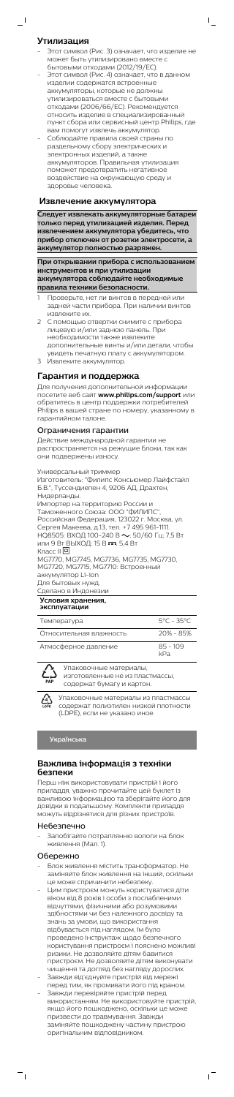### **Утилизация**

 $\overline{\phantom{0}}$ 

- Этот символ (Рис. 3) означает, что изделие не может быть утилизировано вместе с бытовыми отходами (2012/19/ЕС).

 $\mathsf{L}$ 

- Этот символ (Рис. 4) означает, что в данном изделии содержатся встроенные аккумуляторы, которые не должны утилизироваться вместе с бытовыми отходами (2006/66/EC). Рекомендуется относить изделие в специализированный пункт сбора или сервисный центр Philips, где вам помогут извлечь аккумулятор.
- Соблюдайте правила своей страны по раздельному сбору электрических и электронных изделий, а также аккумуляторов. Правильная утилизация поможет предотвратить негативное воздействие на окружающую среду и здоровье человека.

### **Извлечение аккумулятора**

**Следует извлекать аккумуляторные батареи только перед утилизацией изделия. Перед извлечением аккумулятора убедитесь, что прибор отключен от розетки электросети, а аккумулятор полностью разряжен.**

**При открывании прибора с использованием инструментов и при утилизации аккумулятора соблюдайте необходимые правила техники безопасности.**

- 1 Проверьте, нет ли винтов в передней или задней части прибора. При наличии винтов извлеките их.
- 2 С помощью отвертки снимите с прибора лицевую и/или заднюю панель. При необходимости также извлеките дополнительные винты и/или детали, чтобы увидеть печатную плату с аккумулятором.
- 3 Извлеките аккумулятор.

## **Гарантия и поддержка**

Для получения дополнительной информации посетите веб сайт **www.philips.com/support** или обратитесь в центр поддержки потребителей Philips в вашей стране по номеру, указанному в гарантийном талоне.

### Ограничения гарантии

Действие международной гарантии не распространяется на режущие блоки, так как они подвержены износу.

Универсальный триммер Изготовитель: "Филипс Консьюмер Лайфстайл Б.В.", Туссендиепен 4, 9206 АД, Драхтен, Нидерланды. Импортер на территорию России и Таможенного Союза: ООО "ФИЛИПС", Российская Федерация, 123022 г. Москва, ул. Сергея Макеева, д.13, тел. +7 495 961-1111. НQ8505: ВХОД 100-240 В  $\sim$ ; 50/60 Гц; 7,5 Вт или 9 Вт ВЫХОД: 15 В - - , 5,4 Вт Класс II MG7770, MG7745, MG7736, MG7735, MG7730, MG7720, MG7715, MG7710: Встроенный аккумулятор Li-ion Для бытовых нужд. Сделано в Индонезии **Условия хранения, эксплуатации** Температура 5°C - 35°C

| Температура             | 59 - 359          |
|-------------------------|-------------------|
| Относительная влажность | $20\% - 85\%$     |
| Атмосферное давление    | $85 - 109$<br>kPa |



Упаковочные материалы, изготовленные не из пластмассы, содержат бумагу и картон.

Упаковочные материалы из пластмассы содержат полиэтилен низкой плотности (LDPE), если не указано иное.

**Українська**

### **Важлива інформація з техніки безпеки**

Перш ніж використовувати пристрій і його приладдя, уважно прочитайте цей буклет із

важливою інформацією та зберігайте його для довідки в подальшому. Комплекти приладдя можуть відрізнятися для різних пристроїв.

## Небезпечно

- Запобігайте потраплянню вологи на блок живлення (Мал. 1).

## Обережно

 $\overline{a}$ 

- Блок живлення містить трансформатор. Не заміняйте блок живлення на інший, оскільки це може спричинити небезпеку.
- Цим пристроєм можуть користуватися діти віком від 8 років і особи з послабленими відчуттями, фізичними або розумовими здібностями чи без належного досвіду та знань за умови, що використання відбувається під наглядом, їм було проведено інструктаж щодо безпечного користування пристроєм і пояснено можливі ризики. Не дозволяйте дітям бавитися пристроєм. Не дозволяйте дітям виконувати чищення та догляд без нагляду дорослих.
- Завжди від'єднуйте пристрій від мережі перед тим, як промивати його під краном.
- Завжди перевіряйте пристрій перед використанням. Не використовуйте пристрій, якщо його пошкоджено, оскільки це може призвести до травмування. Завжди заміняйте пошкоджену частину пристрою оригінальним відповідником.

 $\sqrt{2}$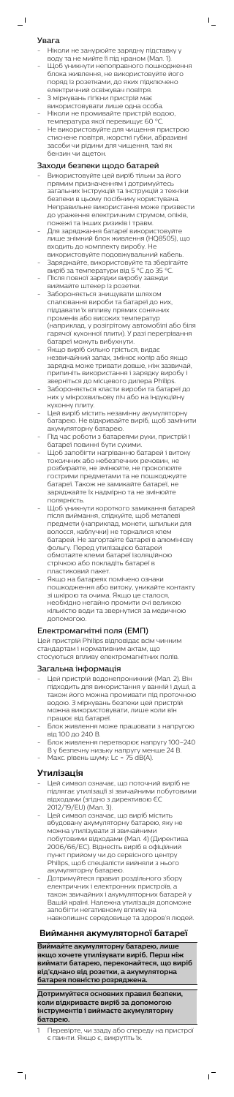#### Увага

 $\overline{\phantom{0}}$ 

- Ніколи не занурюйте зарядну підставку у воду та не мийте її під краном (Мал. 1).
- - ,<br>Щоб уникнути непоправного пошкодження блока живлення, не використовуйте його поряд із розетками, до яких підключено електричний освіжувач повітря.

 $\mathsf{I}$ 

- З міркувань гігієни пристрій має використовувати лише одна особа. - Ніколи не промивайте пристрій водою,
- температура якої перевищує 60 °C. - Не використовуйте для чищення пристрою стиснене повітря, жорсткі губки, абразивні
- засоби чи рідини для чищення, такі як бензин чи ацетон.

### Заходи безпеки щодо батарей

- Використовуйте цей виріб тільки за його прямим призначенням і дотримуйтесь загальних інструкцій та інструкцій з техніки безпеки в цьому посібнику користувача. Неправильне використання може призвести до ураження електричним струмом, опіків, пожежі та інших ризиків і травм.
- Для заряджання батареї використовуйте лише знімний блок живлення (HQ8505), що входить до комплекту виробу. Не використовуйте подовжувальний кабель.
- Заряджайте, використовуйте та зберігайте виріб за температури від 5 °C до 35 °C.
- Після повної зарядки виробу завжди
- виймайте штекер із розетки. - Забороняється знищувати шляхом спалювання вироби та батареї до них, піддавати їх впливу прямих сонячних променів або високих температур (наприклад, у розігрітому автомобілі або біля гарячої кухонної плити). У разі перегрівання батареї можуть вибухнути.
- Якщо виріб сильно гріється, видає незвичайний запах, змінює колір або якщо зарядка може тривати довше, ніж зазвичай, припиніть використання і зарядку виробу і зверніться до місцевого дилера Philips.
- Забороняється класти вироби та батареї до них у мікрохвильову піч або на індукційну кухонну плиту.
- Цей виріб містить незамінну акумуляторну батарею. Не відкривайте виріб, щоб замінити акумуляторну батарею.
- Під час роботи з батареями руки, пристрій і батареї повинні бути сухими.
- Щоб запобігти нагріванню батарей і витоку токсичних або небезпечних речовин, не розбирайте, не змінюйте, не проколюйте гострими предметами та не пошкоджуйте батареї. Також не замикайте батареї, не заряджайте їх надмірно та не змінюйте полярність.
- Щоб уникнути короткого замикання батарей після виймання, слідкуйте, щоб металеві предмети (наприклад, монети, шпильки для волосся, каблучки) не торкалися клем батарей. Не загортайте батареї в алюмінієву фольгу. Перед утилізацією батарей обмотайте клеми батареї ізоляційною стрічкою або покладіть батареї в пластиковий пакет.
- Якщо на батареях помічено ознаки пошкодження або витоку, уникайте контакту зі шкірою та очима. Якщо це сталося, необхідно негайно промити очі великою кількістю води та звернутися за медичною допомогою.

## Електромагнітні поля (ЕМП)

Цей пристрій Philips відповідає всім чинним стандартам і нормативним актам, що стосуються впливу електромагнітних полів.

#### Загальна інформація

- Цей пристрій водонепроникний (Мал. 2). Він підходить для використання у ванній і душі, а також його можна промивати під проточною водою. З міркувань безпеки цей пристрій можна використовувати, лише коли він працює від батареї.
- Блок живлення може працювати з напругою від 100 до 240 В.
- Блок живлення перетворює напругу 100–240 В у безпечну низьку напругу менше 24 В. - Макс. рівень шуму: Lc = 75 dB(A).

### **Утилізація**

 $\overline{\phantom{a}}$ 

- Цей символ означає, що поточний виріб не
	- підлягає утилізації зі звичайними побутовими відходами (згідно з директивою ЄС 2012/19/EU) (Мал. 3).
- Цей символ означає, що виріб містить вбудовану акумуляторну батарею, яку не можна утилізувати зі звичайними побутовими відходами (Мал. 4) (Директива 2006/66/EC). Віднесіть виріб в офіційний пункт прийому чи до сервісного центру Philips, щоб спеціалісти вийняли з нього акумуляторну батарею.
- Дотримуйтеся правил роздільного збору електричних і електронних пристроїв, а також звичайних і акумуляторних батарей у Вашій країні. Належна утилізація допоможе запобігти негативному впливу на навколишнє середовище та здоров'я людей.

# **Виймання акумуляторної батареї**

**Виймайте акумуляторну батарею, лише якщо хочете утилізувати виріб. Перш ніж виймати батарею, переконайтеся, що виріб від'єднано від розетки, а акумуляторна батарея повністю розряджена.**

**Дотримуйтеся основних правил безпеки, коли відкриваєте виріб за допомогою інструментів і виймаєте акумуляторну батарею.**

1 Перевірте, чи ззаду або спереду на пристрої є гвинти. Якщо є, викрутіть їх.

 $\overline{1}$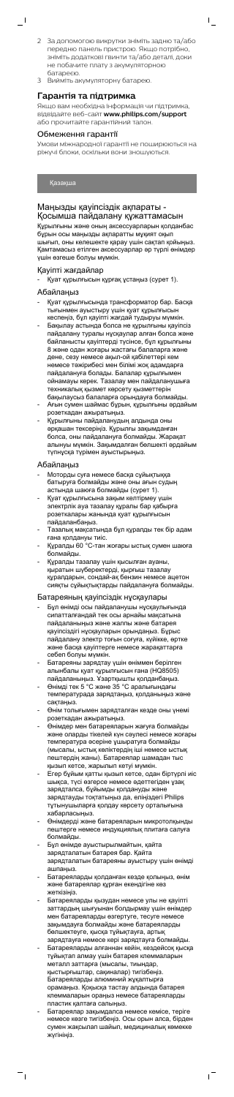2 За допомогою викрутки зніміть задню та/або передню панель пристрою. Якщо потрібно, зніміть додаткові гвинти та/або деталі, доки не побачите плату з акумуляторною батареєю.

 $\mathsf{L}$ 

3 Вийміть акумуляторну батарею.

### **Гарантія та підтримка**

Якщо вам необхідна інформація чи підтримка, відвідайте веб-сайт **www.philips.com/support** або прочитайте гарантійний талон.

#### Обмеження гарантії

Умови міжнародної гарантії не поширюються на ріжучі блоки, оскільки вони зношуються.

# Қазақша

 $\overline{\phantom{0}}$ 

## Маңызды қауіпсіздік ақпараты - Қосымша пайдалану құжаттамасын

Құрылғыны және оның аксессуарларын қолданбас бұрын осы маңызды ақпаратты мұқият оқып шығып, оны келешекте қарау үшін сақтап қойыңыз. Қамтамасыз етілген аксессуарлар әр түрлі өнімдер үшін өзгеше болуы мүмкін.

### Қауіпті жағдайлар

- Қуат құрылғысын құрғақ ұстаңыз (сурет 1).

### Абайлаңыз

- Қуат құрылғысында трансформатор бар. Басқа тығынмен ауыстыру үшін қуат құрылғысын кеспеңіз, бұл қауіпті жағдай тудыруы мүмкін.
- Бақылау астында болса не құрылғыны қауіпсіз пайдалану туралы нұсқаулар алған болса және байланысты қауіптерді түсінсе, бұл құрылғыны 8 және одан жоғары жастағы балаларға және дене, сезу немесе ақыл-ой қабілеттері кем немесе тәжірибесі мен білімі жоқ адамдарға пайдалануға болады. Балалар құрылғымен ойнамауы керек. Тазалау мен пайдаланушыға техникалық қызмет көрсету қызметтерін бақылаусыз балаларға орындауға болмайды.
- Ағын сумен шаймас бұрын, құрылғыны әрдайым розеткадан ажыратыңыз.
- Құрылғыны пайдаланудың алдында оны әрқашан тексеріңіз. Құрылғы зақымданған болса, оны пайдалануға болмайды. Жарақат алынуы мүмкін. Зақымдалған бөлшекті әрдайым түпнұсқа түрімен ауыстырыңыз.

# Абайлаңыз

- Моторды суға немесе басқа сұйықтыққа батыруға болмайды және оны ағын судың астында шаюға болмайды (сурет 1).
- Қуат құрылғысына зақым келтірмеу үшін электрлік ауа тазалау құралы бар қабырға розеткалары жанында қуат құрылғысын пайдаланбаңыз.
- Тазалық мақсатында бұл құралды тек бір адам ғана қолдануы тиіс.
- Құралды 60 °C-тан жоғары ыстық сумен шаюға болмайды.
- Құралды тазалау үшін қысылған ауаны, қыратын шүберектерді, қырғыш тазалау құралдарын, сондай-ақ бензин немесе ацетон сияқты сұйықтықтарды пайдалануға болмайды.

#### Батареяның қауіпсіздік нұсқаулары

- Бұл өнімді осы пайдаланушы нұсқаулығында сипатталғандай тек осы арнайы мақсатына пайдаланыңыз және жалпы және батарея қауіпсіздігі нұсқауларын орындаңыз. Бұрыс пайдалану электр тоғын соғуға, күйікке, өртке және басқа қауіптерге немесе жарақаттарға себеп болуы мүмкін.
- Батареяны зарядтау үшін өніммен берілген алынбалы қуат құрылғысын ғана (HQ8505) пайдаланыңыз. Ұзартқышты қолданбаңыз.
- Өнімді тек 5 °C және 35 °C аралығындағы температурада зарядтаңыз, қолданыңыз және сақтаңыз.
- Өнім толығымен зарядталған кезде оны үнемі розеткадан ажыратыңыз.
- Өнімдер мен батареяларын жағуға болмайды және оларды тікелей күн сәулесі немесе жоғары температура әсеріне ұшыратуға болмайды (мысалы, ыстық көліктердің іші немесе ыстық пештердің жаны). Батареялар шамадан тыс қызып кетсе, жарылып кетуі мүмкін.
- Егер бұйым қатты қызып кетсе, одан біртүрлі иіс шықса, түсі өзгерсе немесе әдеттегіден ұзақ зарядталса, бұйымды қолдануды және зарядтауды тоқтатыңыз да, еліңіздегі Philips тұтынушыларға қолдау көрсету орталығына хабарласыңыз.
- Өнімдерді және батареяларын микротолқынды пештерге немесе индукциялық плитаға салуға болмайды.
- Бұл өнімде ауыстырылмайтын, қайта зарядталатын батарея бар. Қайта зарядталатын батареяны ауыстыру үшін өнімді ашпаңыз.
- Батареяларды қолданған кезде қолыңыз, өнім және батареялар құрған екендігіне көз жеткізіңіз.
- Батареяларды қызудан немесе улы не қауіпті заттардың шығуынан болдырмау үшін өнімдер мен батареяларды өзгертуге, тесуге немесе зақымдауға болмайды және батареяларды бөлшектеуге, қысқа тұйықтауға, артық зарядтауға немесе кері зарядтауға болмайды.
- Батареяларды алғаннан кейін, кездейсоқ қысқа тұйықтап алмау үшін батарея клеммаларын металл заттарға (мысалы, тиындар, қыстырғыштар, сақиналар) тигізбеңіз. Батареяларды алюминий жұқалтырға орамаңыз. Қоқысқа тастау алдында батарея клеммаларын ораңыз немесе батареяларды пластик қалтаға салыңыз.
- Батареялар зақымдалса немесе кемісе, теріге немесе көзге тигізбеңіз. Осы орын алса, бірден сумен жақсылап шайып, медициналық көмекке жүгініңіз.

 $^{-}$ 

 $\frac{1}{\sqrt{2}}$